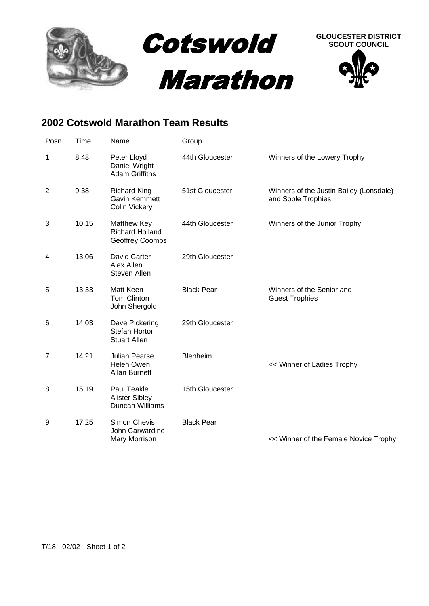

## **2002 Cotswold Marathon Team Results**

| Posn.          | Time  | Name                                                                | Group             |                                                               |
|----------------|-------|---------------------------------------------------------------------|-------------------|---------------------------------------------------------------|
| 1              | 8.48  | Peter Lloyd<br>Daniel Wright<br><b>Adam Griffiths</b>               | 44th Gloucester   | Winners of the Lowery Trophy                                  |
| $\overline{2}$ | 9.38  | <b>Richard King</b><br><b>Gavin Kemmett</b><br><b>Colin Vickery</b> | 51st Gloucester   | Winners of the Justin Bailey (Lonsdale)<br>and Soble Trophies |
| $\mathbf{3}$   | 10.15 | Matthew Key<br><b>Richard Holland</b><br>Geoffrey Coombs            | 44th Gloucester   | Winners of the Junior Trophy                                  |
| 4              | 13.06 | David Carter<br>Alex Allen<br>Steven Allen                          | 29th Gloucester   |                                                               |
| 5              | 13.33 | Matt Keen<br><b>Tom Clinton</b><br>John Shergold                    | <b>Black Pear</b> | Winners of the Senior and<br><b>Guest Trophies</b>            |
| 6              | 14.03 | Dave Pickering<br>Stefan Horton<br><b>Stuart Allen</b>              | 29th Gloucester   |                                                               |
| $\overline{7}$ | 14.21 | <b>Julian Pearse</b><br><b>Helen Owen</b><br><b>Allan Burnett</b>   | Blenheim          | << Winner of Ladies Trophy                                    |
| 8              | 15.19 | Paul Teakle<br><b>Alister Sibley</b><br><b>Duncan Williams</b>      | 15th Gloucester   |                                                               |
| 9              | 17.25 | Simon Chevis<br>John Carwardine<br>Mary Morrison                    | <b>Black Pear</b> | << Winner of the Female Novice Trophy                         |